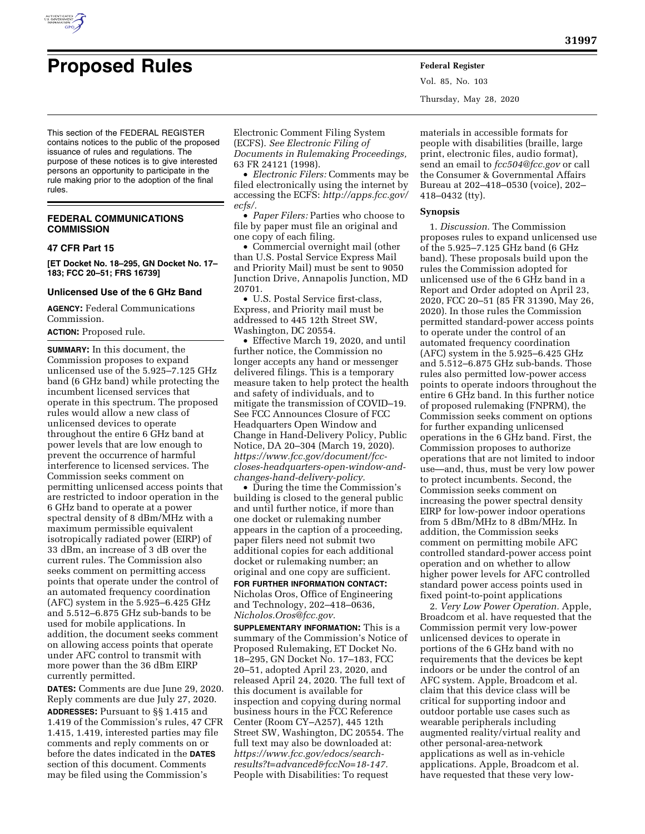

Vol. 85, No. 103 Thursday, May 28, 2020

This section of the FEDERAL REGISTER contains notices to the public of the proposed issuance of rules and regulations. The purpose of these notices is to give interested persons an opportunity to participate in the rule making prior to the adoption of the final rules.

## **FEDERAL COMMUNICATIONS COMMISSION**

# **47 CFR Part 15**

**[ET Docket No. 18–295, GN Docket No. 17– 183; FCC 20–51; FRS 16739]** 

### **Unlicensed Use of the 6 GHz Band**

**AGENCY:** Federal Communications Commission.

## **ACTION:** Proposed rule.

**SUMMARY:** In this document, the Commission proposes to expand unlicensed use of the 5.925–7.125 GHz band (6 GHz band) while protecting the incumbent licensed services that operate in this spectrum. The proposed rules would allow a new class of unlicensed devices to operate throughout the entire 6 GHz band at power levels that are low enough to prevent the occurrence of harmful interference to licensed services. The Commission seeks comment on permitting unlicensed access points that are restricted to indoor operation in the 6 GHz band to operate at a power spectral density of 8 dBm/MHz with a maximum permissible equivalent isotropically radiated power (EIRP) of 33 dBm, an increase of 3 dB over the current rules. The Commission also seeks comment on permitting access points that operate under the control of an automated frequency coordination (AFC) system in the 5.925–6.425 GHz and 5.512–6.875 GHz sub-bands to be used for mobile applications. In addition, the document seeks comment on allowing access points that operate under AFC control to transmit with more power than the 36 dBm EIRP currently permitted.

**DATES:** Comments are due June 29, 2020. Reply comments are due July 27, 2020. **ADDRESSES:** Pursuant to §§ 1.415 and 1.419 of the Commission's rules, 47 CFR 1.415, 1.419, interested parties may file comments and reply comments on or before the dates indicated in the **DATES** section of this document. Comments may be filed using the Commission's

Electronic Comment Filing System (ECFS). *See Electronic Filing of Documents in Rulemaking Proceedings,*  63 FR 24121 (1998).

• *Electronic Filers:* Comments may be filed electronically using the internet by accessing the ECFS: *[http://apps.fcc.gov/](http://apps.fcc.gov/ecfs/)  [ecfs/.](http://apps.fcc.gov/ecfs/)* 

• *Paper Filers:* Parties who choose to file by paper must file an original and one copy of each filing.

• Commercial overnight mail (other than U.S. Postal Service Express Mail and Priority Mail) must be sent to 9050 Junction Drive, Annapolis Junction, MD 20701.

• U.S. Postal Service first-class, Express, and Priority mail must be addressed to 445 12th Street SW, Washington, DC 20554.

• Effective March 19, 2020, and until further notice, the Commission no longer accepts any hand or messenger delivered filings. This is a temporary measure taken to help protect the health and safety of individuals, and to mitigate the transmission of COVID–19. See FCC Announces Closure of FCC Headquarters Open Window and Change in Hand-Delivery Policy, Public Notice, DA 20–304 (March 19, 2020). *[https://www.fcc.gov/document/fcc](https://www.fcc.gov/document/fcc-closes-headquarters-open-window-and-changes-hand-delivery-policy)[closes-headquarters-open-window-and](https://www.fcc.gov/document/fcc-closes-headquarters-open-window-and-changes-hand-delivery-policy)[changes-hand-delivery-policy.](https://www.fcc.gov/document/fcc-closes-headquarters-open-window-and-changes-hand-delivery-policy)* 

• During the time the Commission's building is closed to the general public and until further notice, if more than one docket or rulemaking number appears in the caption of a proceeding, paper filers need not submit two additional copies for each additional docket or rulemaking number; an original and one copy are sufficient. **FOR FURTHER INFORMATION CONTACT:**  Nicholas Oros, Office of Engineering

and Technology, 202–418–0636, *[Nicholos.Oros@fcc.gov.](mailto:Nicholos.Oros@fcc.gov)* 

**SUPPLEMENTARY INFORMATION:** This is a summary of the Commission's Notice of Proposed Rulemaking, ET Docket No. 18–295, GN Docket No. 17–183, FCC 20–51, adopted April 23, 2020, and released April 24, 2020. The full text of this document is available for inspection and copying during normal business hours in the FCC Reference Center (Room CY–A257), 445 12th Street SW, Washington, DC 20554. The full text may also be downloaded at: *[https://www.fcc.gov/edocs/search](https://www.fcc.gov/edocs/search-results?t=advanced&fccNo=18-147)[results?t=advanced&fccNo=18-147.](https://www.fcc.gov/edocs/search-results?t=advanced&fccNo=18-147)*  People with Disabilities: To request

materials in accessible formats for people with disabilities (braille, large print, electronic files, audio format), send an email to *[fcc504@fcc.gov](mailto:fcc504@fcc.gov)* or call the Consumer & Governmental Affairs Bureau at 202–418–0530 (voice), 202– 418–0432 (tty).

### **Synopsis**

1. *Discussion.* The Commission proposes rules to expand unlicensed use of the 5.925–7.125 GHz band (6 GHz band). These proposals build upon the rules the Commission adopted for unlicensed use of the 6 GHz band in a Report and Order adopted on April 23, 2020, FCC 20–51 (85 FR 31390, May 26, 2020). In those rules the Commission permitted standard-power access points to operate under the control of an automated frequency coordination (AFC) system in the 5.925–6.425 GHz and 5.512–6.875 GHz sub-bands. Those rules also permitted low-power access points to operate indoors throughout the entire 6 GHz band. In this further notice of proposed rulemaking (FNPRM), the Commission seeks comment on options for further expanding unlicensed operations in the 6 GHz band. First, the Commission proposes to authorize operations that are not limited to indoor use—and, thus, must be very low power to protect incumbents. Second, the Commission seeks comment on increasing the power spectral density EIRP for low-power indoor operations from 5 dBm/MHz to 8 dBm/MHz. In addition, the Commission seeks comment on permitting mobile AFC controlled standard-power access point operation and on whether to allow higher power levels for AFC controlled standard power access points used in fixed point-to-point applications

2. *Very Low Power Operation.* Apple, Broadcom et al. have requested that the Commission permit very low-power unlicensed devices to operate in portions of the 6 GHz band with no requirements that the devices be kept indoors or be under the control of an AFC system. Apple, Broadcom et al. claim that this device class will be critical for supporting indoor and outdoor portable use cases such as wearable peripherals including augmented reality/virtual reality and other personal-area-network applications as well as in-vehicle applications. Apple, Broadcom et al. have requested that these very low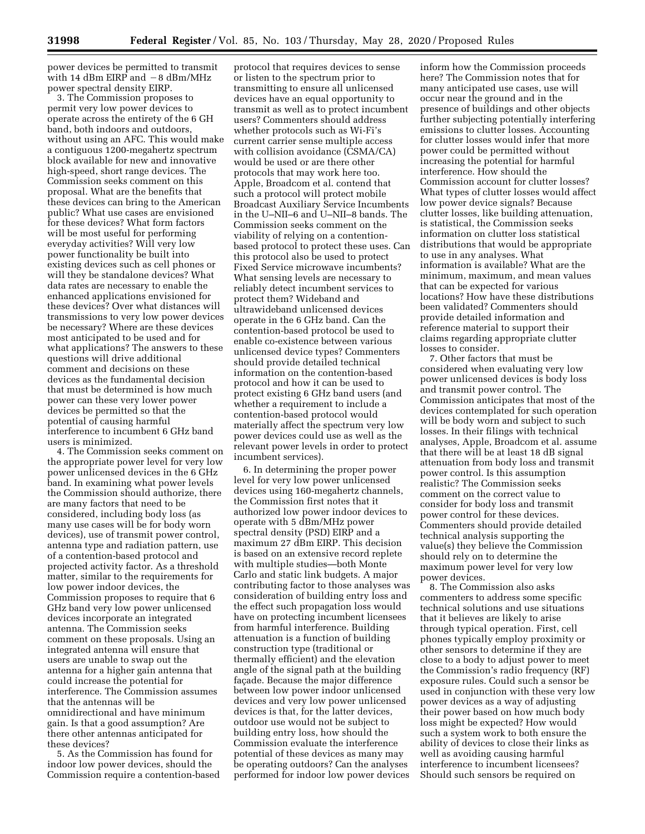power devices be permitted to transmit with 14 dBm EIRP and  $-8$  dBm/MHz power spectral density EIRP.

3. The Commission proposes to permit very low power devices to operate across the entirety of the 6 GH band, both indoors and outdoors, without using an AFC. This would make a contiguous 1200-megahertz spectrum block available for new and innovative high-speed, short range devices. The Commission seeks comment on this proposal. What are the benefits that these devices can bring to the American public? What use cases are envisioned for these devices? What form factors will be most useful for performing everyday activities? Will very low power functionality be built into existing devices such as cell phones or will they be standalone devices? What data rates are necessary to enable the enhanced applications envisioned for these devices? Over what distances will transmissions to very low power devices be necessary? Where are these devices most anticipated to be used and for what applications? The answers to these questions will drive additional comment and decisions on these devices as the fundamental decision that must be determined is how much power can these very lower power devices be permitted so that the potential of causing harmful interference to incumbent 6 GHz band users is minimized.

4. The Commission seeks comment on the appropriate power level for very low power unlicensed devices in the 6 GHz band. In examining what power levels the Commission should authorize, there are many factors that need to be considered, including body loss (as many use cases will be for body worn devices), use of transmit power control, antenna type and radiation pattern, use of a contention-based protocol and projected activity factor. As a threshold matter, similar to the requirements for low power indoor devices, the Commission proposes to require that 6 GHz band very low power unlicensed devices incorporate an integrated antenna. The Commission seeks comment on these proposals. Using an integrated antenna will ensure that users are unable to swap out the antenna for a higher gain antenna that could increase the potential for interference. The Commission assumes that the antennas will be omnidirectional and have minimum gain. Is that a good assumption? Are there other antennas anticipated for these devices?

5. As the Commission has found for indoor low power devices, should the Commission require a contention-based

protocol that requires devices to sense or listen to the spectrum prior to transmitting to ensure all unlicensed devices have an equal opportunity to transmit as well as to protect incumbent users? Commenters should address whether protocols such as Wi-Fi's current carrier sense multiple access with collision avoidance (CSMA/CA) would be used or are there other protocols that may work here too. Apple, Broadcom et al. contend that such a protocol will protect mobile Broadcast Auxiliary Service Incumbents in the U–NII–6 and U–NII–8 bands. The Commission seeks comment on the viability of relying on a contentionbased protocol to protect these uses. Can this protocol also be used to protect Fixed Service microwave incumbents? What sensing levels are necessary to reliably detect incumbent services to protect them? Wideband and ultrawideband unlicensed devices operate in the 6 GHz band. Can the contention-based protocol be used to enable co-existence between various unlicensed device types? Commenters should provide detailed technical information on the contention-based protocol and how it can be used to protect existing 6 GHz band users (and whether a requirement to include a contention-based protocol would materially affect the spectrum very low power devices could use as well as the relevant power levels in order to protect incumbent services).

6. In determining the proper power level for very low power unlicensed devices using 160-megahertz channels, the Commission first notes that it authorized low power indoor devices to operate with 5 dBm/MHz power spectral density (PSD) EIRP and a maximum 27 dBm EIRP. This decision is based on an extensive record replete with multiple studies—both Monte Carlo and static link budgets. A major contributing factor to those analyses was consideration of building entry loss and the effect such propagation loss would have on protecting incumbent licensees from harmful interference. Building attenuation is a function of building construction type (traditional or thermally efficient) and the elevation angle of the signal path at the building façade. Because the major difference between low power indoor unlicensed devices and very low power unlicensed devices is that, for the latter devices, outdoor use would not be subject to building entry loss, how should the Commission evaluate the interference potential of these devices as many may be operating outdoors? Can the analyses performed for indoor low power devices

inform how the Commission proceeds here? The Commission notes that for many anticipated use cases, use will occur near the ground and in the presence of buildings and other objects further subjecting potentially interfering emissions to clutter losses. Accounting for clutter losses would infer that more power could be permitted without increasing the potential for harmful interference. How should the Commission account for clutter losses? What types of clutter losses would affect low power device signals? Because clutter losses, like building attenuation, is statistical, the Commission seeks information on clutter loss statistical distributions that would be appropriate to use in any analyses. What information is available? What are the minimum, maximum, and mean values that can be expected for various locations? How have these distributions been validated? Commenters should provide detailed information and reference material to support their claims regarding appropriate clutter losses to consider.

7. Other factors that must be considered when evaluating very low power unlicensed devices is body loss and transmit power control. The Commission anticipates that most of the devices contemplated for such operation will be body worn and subject to such losses. In their filings with technical analyses, Apple, Broadcom et al. assume that there will be at least 18 dB signal attenuation from body loss and transmit power control. Is this assumption realistic? The Commission seeks comment on the correct value to consider for body loss and transmit power control for these devices. Commenters should provide detailed technical analysis supporting the value(s) they believe the Commission should rely on to determine the maximum power level for very low power devices.

8. The Commission also asks commenters to address some specific technical solutions and use situations that it believes are likely to arise through typical operation. First, cell phones typically employ proximity or other sensors to determine if they are close to a body to adjust power to meet the Commission's radio frequency (RF) exposure rules. Could such a sensor be used in conjunction with these very low power devices as a way of adjusting their power based on how much body loss might be expected? How would such a system work to both ensure the ability of devices to close their links as well as avoiding causing harmful interference to incumbent licensees? Should such sensors be required on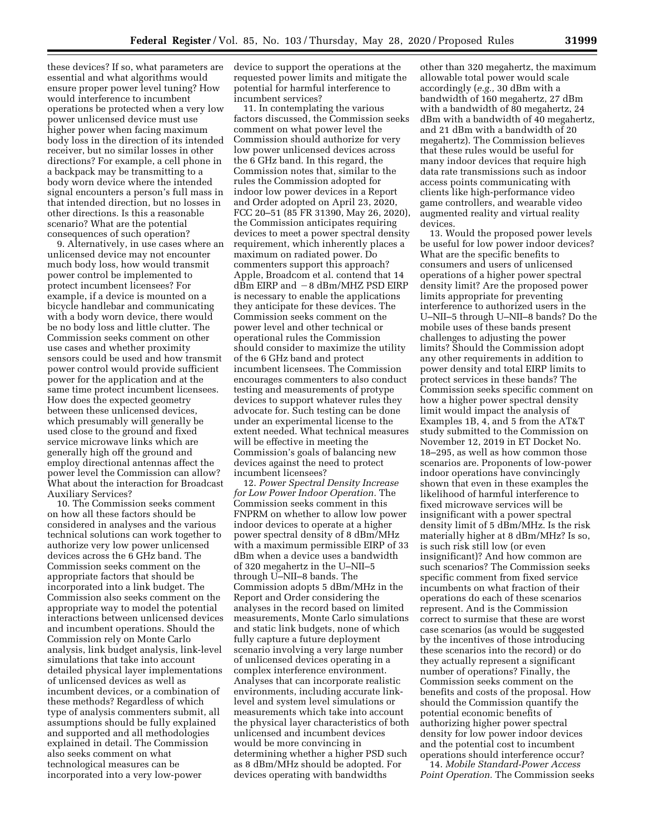these devices? If so, what parameters are essential and what algorithms would ensure proper power level tuning? How would interference to incumbent operations be protected when a very low power unlicensed device must use higher power when facing maximum body loss in the direction of its intended receiver, but no similar losses in other directions? For example, a cell phone in a backpack may be transmitting to a body worn device where the intended signal encounters a person's full mass in that intended direction, but no losses in other directions. Is this a reasonable scenario? What are the potential consequences of such operation?

9. Alternatively, in use cases where an unlicensed device may not encounter much body loss, how would transmit power control be implemented to protect incumbent licensees? For example, if a device is mounted on a bicycle handlebar and communicating with a body worn device, there would be no body loss and little clutter. The Commission seeks comment on other use cases and whether proximity sensors could be used and how transmit power control would provide sufficient power for the application and at the same time protect incumbent licensees. How does the expected geometry between these unlicensed devices, which presumably will generally be used close to the ground and fixed service microwave links which are generally high off the ground and employ directional antennas affect the power level the Commission can allow? What about the interaction for Broadcast Auxiliary Services?

10. The Commission seeks comment on how all these factors should be considered in analyses and the various technical solutions can work together to authorize very low power unlicensed devices across the 6 GHz band. The Commission seeks comment on the appropriate factors that should be incorporated into a link budget. The Commission also seeks comment on the appropriate way to model the potential interactions between unlicensed devices and incumbent operations. Should the Commission rely on Monte Carlo analysis, link budget analysis, link-level simulations that take into account detailed physical layer implementations of unlicensed devices as well as incumbent devices, or a combination of these methods? Regardless of which type of analysis commenters submit, all assumptions should be fully explained and supported and all methodologies explained in detail. The Commission also seeks comment on what technological measures can be incorporated into a very low-power

device to support the operations at the requested power limits and mitigate the potential for harmful interference to incumbent services?

11. In contemplating the various factors discussed, the Commission seeks comment on what power level the Commission should authorize for very low power unlicensed devices across the 6 GHz band. In this regard, the Commission notes that, similar to the rules the Commission adopted for indoor low power devices in a Report and Order adopted on April 23, 2020, FCC 20–51 (85 FR 31390, May 26, 2020), the Commission anticipates requiring devices to meet a power spectral density requirement, which inherently places a maximum on radiated power. Do commenters support this approach? Apple, Broadcom et al. contend that 14  $dBm$  EIRP and  $-8$  dBm/MHZ PSD EIRP is necessary to enable the applications they anticipate for these devices. The Commission seeks comment on the power level and other technical or operational rules the Commission should consider to maximize the utility of the 6 GHz band and protect incumbent licensees. The Commission encourages commenters to also conduct testing and measurements of protype devices to support whatever rules they advocate for. Such testing can be done under an experimental license to the extent needed. What technical measures will be effective in meeting the Commission's goals of balancing new devices against the need to protect incumbent licensees?

12. *Power Spectral Density Increase for Low Power Indoor Operation.* The Commission seeks comment in this FNPRM on whether to allow low power indoor devices to operate at a higher power spectral density of 8 dBm/MHz with a maximum permissible EIRP of 33 dBm when a device uses a bandwidth of 320 megahertz in the U–NII–5 through U–NII–8 bands. The Commission adopts 5 dBm/MHz in the Report and Order considering the analyses in the record based on limited measurements, Monte Carlo simulations and static link budgets, none of which fully capture a future deployment scenario involving a very large number of unlicensed devices operating in a complex interference environment. Analyses that can incorporate realistic environments, including accurate linklevel and system level simulations or measurements which take into account the physical layer characteristics of both unlicensed and incumbent devices would be more convincing in determining whether a higher PSD such as 8 dBm/MHz should be adopted. For devices operating with bandwidths

other than 320 megahertz, the maximum allowable total power would scale accordingly (*e.g.,* 30 dBm with a bandwidth of 160 megahertz, 27 dBm with a bandwidth of 80 megahertz, 24 dBm with a bandwidth of 40 megahertz, and 21 dBm with a bandwidth of 20 megahertz). The Commission believes that these rules would be useful for many indoor devices that require high data rate transmissions such as indoor access points communicating with clients like high-performance video game controllers, and wearable video augmented reality and virtual reality devices.

13. Would the proposed power levels be useful for low power indoor devices? What are the specific benefits to consumers and users of unlicensed operations of a higher power spectral density limit? Are the proposed power limits appropriate for preventing interference to authorized users in the U–NII–5 through U–NII–8 bands? Do the mobile uses of these bands present challenges to adjusting the power limits? Should the Commission adopt any other requirements in addition to power density and total EIRP limits to protect services in these bands? The Commission seeks specific comment on how a higher power spectral density limit would impact the analysis of Examples 1B, 4, and 5 from the AT&T study submitted to the Commission on November 12, 2019 in ET Docket No. 18–295, as well as how common those scenarios are. Proponents of low-power indoor operations have convincingly shown that even in these examples the likelihood of harmful interference to fixed microwave services will be insignificant with a power spectral density limit of 5 dBm/MHz. Is the risk materially higher at 8 dBm/MHz? Is so, is such risk still low (or even insignificant)? And how common are such scenarios? The Commission seeks specific comment from fixed service incumbents on what fraction of their operations do each of these scenarios represent. And is the Commission correct to surmise that these are worst case scenarios (as would be suggested by the incentives of those introducing these scenarios into the record) or do they actually represent a significant number of operations? Finally, the Commission seeks comment on the benefits and costs of the proposal. How should the Commission quantify the potential economic benefits of authorizing higher power spectral density for low power indoor devices and the potential cost to incumbent operations should interference occur?

14. *Mobile Standard-Power Access Point Operation.* The Commission seeks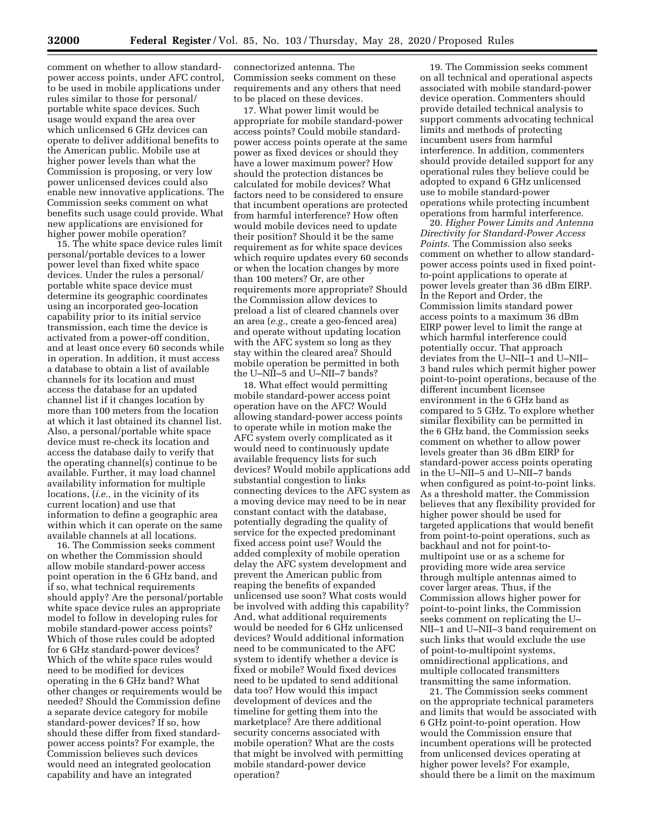comment on whether to allow standardpower access points, under AFC control, to be used in mobile applications under rules similar to those for personal/ portable white space devices. Such usage would expand the area over which unlicensed 6 GHz devices can operate to deliver additional benefits to the American public. Mobile use at higher power levels than what the Commission is proposing, or very low power unlicensed devices could also enable new innovative applications. The Commission seeks comment on what benefits such usage could provide. What new applications are envisioned for higher power mobile operation?

15. The white space device rules limit personal/portable devices to a lower power level than fixed white space devices. Under the rules a personal/ portable white space device must determine its geographic coordinates using an incorporated geo-location capability prior to its initial service transmission, each time the device is activated from a power-off condition, and at least once every 60 seconds while in operation. In addition, it must access a database to obtain a list of available channels for its location and must access the database for an updated channel list if it changes location by more than 100 meters from the location at which it last obtained its channel list. Also, a personal/portable white space device must re-check its location and access the database daily to verify that the operating channel(s) continue to be available. Further, it may load channel availability information for multiple locations, (*i.e.,* in the vicinity of its current location) and use that information to define a geographic area within which it can operate on the same available channels at all locations.

16. The Commission seeks comment on whether the Commission should allow mobile standard-power access point operation in the 6 GHz band, and if so, what technical requirements should apply? Are the personal/portable white space device rules an appropriate model to follow in developing rules for mobile standard-power access points? Which of those rules could be adopted for 6 GHz standard-power devices? Which of the white space rules would need to be modified for devices operating in the 6 GHz band? What other changes or requirements would be needed? Should the Commission define a separate device category for mobile standard-power devices? If so, how should these differ from fixed standardpower access points? For example, the Commission believes such devices would need an integrated geolocation capability and have an integrated

connectorized antenna. The Commission seeks comment on these requirements and any others that need to be placed on these devices.

17. What power limit would be appropriate for mobile standard-power access points? Could mobile standardpower access points operate at the same power as fixed devices or should they have a lower maximum power? How should the protection distances be calculated for mobile devices? What factors need to be considered to ensure that incumbent operations are protected from harmful interference? How often would mobile devices need to update their position? Should it be the same requirement as for white space devices which require updates every 60 seconds or when the location changes by more than 100 meters? Or, are other requirements more appropriate? Should the Commission allow devices to preload a list of cleared channels over an area (*e.g.,* create a geo-fenced area) and operate without updating location with the AFC system so long as they stay within the cleared area? Should mobile operation be permitted in both the U–NII–5 and U–NII–7 bands?

18. What effect would permitting mobile standard-power access point operation have on the AFC? Would allowing standard-power access points to operate while in motion make the AFC system overly complicated as it would need to continuously update available frequency lists for such devices? Would mobile applications add substantial congestion to links connecting devices to the AFC system as a moving device may need to be in near constant contact with the database, potentially degrading the quality of service for the expected predominant fixed access point use? Would the added complexity of mobile operation delay the AFC system development and prevent the American public from reaping the benefits of expanded unlicensed use soon? What costs would be involved with adding this capability? And, what additional requirements would be needed for 6 GHz unlicensed devices? Would additional information need to be communicated to the AFC system to identify whether a device is fixed or mobile? Would fixed devices need to be updated to send additional data too? How would this impact development of devices and the timeline for getting them into the marketplace? Are there additional security concerns associated with mobile operation? What are the costs that might be involved with permitting mobile standard-power device operation?

19. The Commission seeks comment on all technical and operational aspects associated with mobile standard-power device operation. Commenters should provide detailed technical analysis to support comments advocating technical limits and methods of protecting incumbent users from harmful interference. In addition, commenters should provide detailed support for any operational rules they believe could be adopted to expand 6 GHz unlicensed use to mobile standard-power operations while protecting incumbent operations from harmful interference.

20. *Higher Power Limits and Antenna Directivity for Standard-Power Access Points.* The Commission also seeks comment on whether to allow standardpower access points used in fixed pointto-point applications to operate at power levels greater than 36 dBm EIRP. In the Report and Order, the Commission limits standard power access points to a maximum 36 dBm EIRP power level to limit the range at which harmful interference could potentially occur. That approach deviates from the U–NII–1 and U–NII– 3 band rules which permit higher power point-to-point operations, because of the different incumbent licensee environment in the 6 GHz band as compared to 5 GHz. To explore whether similar flexibility can be permitted in the 6 GHz band, the Commission seeks comment on whether to allow power levels greater than 36 dBm EIRP for standard-power access points operating in the U–NII–5 and U–NII–7 bands when configured as point-to-point links. As a threshold matter, the Commission believes that any flexibility provided for higher power should be used for targeted applications that would benefit from point-to-point operations, such as backhaul and not for point-tomultipoint use or as a scheme for providing more wide area service through multiple antennas aimed to cover larger areas. Thus, if the Commission allows higher power for point-to-point links, the Commission seeks comment on replicating the U– NII–1 and U–NII–3 band requirement on such links that would exclude the use of point-to-multipoint systems, omnidirectional applications, and multiple collocated transmitters transmitting the same information.

21. The Commission seeks comment on the appropriate technical parameters and limits that would be associated with 6 GHz point-to-point operation. How would the Commission ensure that incumbent operations will be protected from unlicensed devices operating at higher power levels? For example, should there be a limit on the maximum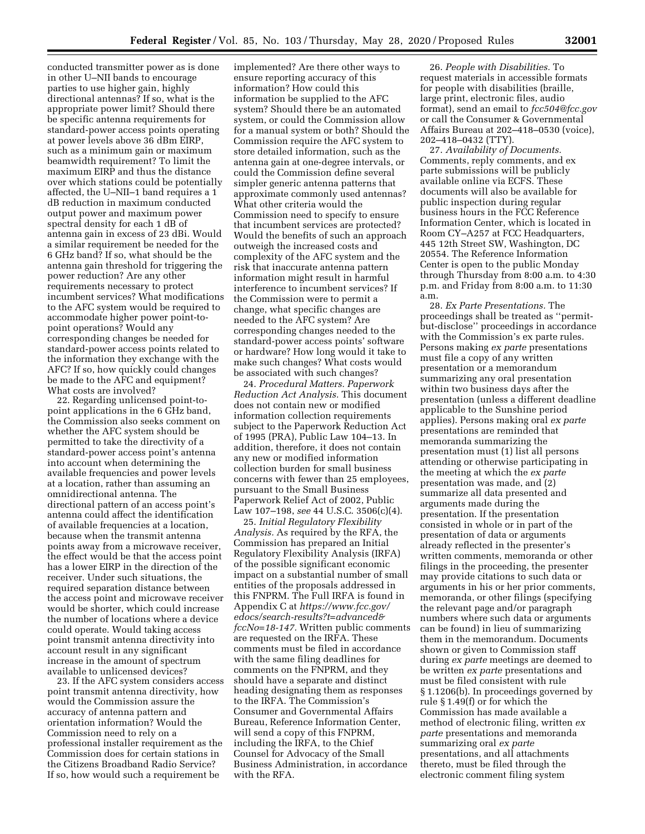conducted transmitter power as is done in other U–NII bands to encourage parties to use higher gain, highly directional antennas? If so, what is the appropriate power limit? Should there be specific antenna requirements for standard-power access points operating at power levels above 36 dBm EIRP, such as a minimum gain or maximum beamwidth requirement? To limit the maximum EIRP and thus the distance over which stations could be potentially affected, the U–NII–1 band requires a 1 dB reduction in maximum conducted output power and maximum power spectral density for each 1 dB of antenna gain in excess of 23 dBi. Would a similar requirement be needed for the 6 GHz band? If so, what should be the antenna gain threshold for triggering the power reduction? Are any other requirements necessary to protect incumbent services? What modifications to the AFC system would be required to accommodate higher power point-topoint operations? Would any corresponding changes be needed for standard-power access points related to the information they exchange with the AFC? If so, how quickly could changes be made to the AFC and equipment? What costs are involved?

22. Regarding unlicensed point-topoint applications in the 6 GHz band, the Commission also seeks comment on whether the AFC system should be permitted to take the directivity of a standard-power access point's antenna into account when determining the available frequencies and power levels at a location, rather than assuming an omnidirectional antenna. The directional pattern of an access point's antenna could affect the identification of available frequencies at a location, because when the transmit antenna points away from a microwave receiver, the effect would be that the access point has a lower EIRP in the direction of the receiver. Under such situations, the required separation distance between the access point and microwave receiver would be shorter, which could increase the number of locations where a device could operate. Would taking access point transmit antenna directivity into account result in any significant increase in the amount of spectrum available to unlicensed devices?

23. If the AFC system considers access point transmit antenna directivity, how would the Commission assure the accuracy of antenna pattern and orientation information? Would the Commission need to rely on a professional installer requirement as the Commission does for certain stations in the Citizens Broadband Radio Service? If so, how would such a requirement be

implemented? Are there other ways to ensure reporting accuracy of this information? How could this information be supplied to the AFC system? Should there be an automated system, or could the Commission allow for a manual system or both? Should the Commission require the AFC system to store detailed information, such as the antenna gain at one-degree intervals, or could the Commission define several simpler generic antenna patterns that approximate commonly used antennas? What other criteria would the Commission need to specify to ensure that incumbent services are protected? Would the benefits of such an approach outweigh the increased costs and complexity of the AFC system and the risk that inaccurate antenna pattern information might result in harmful interference to incumbent services? If the Commission were to permit a change, what specific changes are needed to the AFC system? Are corresponding changes needed to the standard-power access points' software or hardware? How long would it take to make such changes? What costs would be associated with such changes?

24. *Procedural Matters. Paperwork Reduction Act Analysis.* This document does not contain new or modified information collection requirements subject to the Paperwork Reduction Act of 1995 (PRA), Public Law 104–13. In addition, therefore, it does not contain any new or modified information collection burden for small business concerns with fewer than 25 employees, pursuant to the Small Business Paperwork Relief Act of 2002, Public Law 107–198, *see* 44 U.S.C. 3506(c)(4).

25. *Initial Regulatory Flexibility Analysis.* As required by the RFA, the Commission has prepared an Initial Regulatory Flexibility Analysis (IRFA) of the possible significant economic impact on a substantial number of small entities of the proposals addressed in this FNPRM. The Full IRFA is found in Appendix C at *[https://www.fcc.gov/](https://www.fcc.gov/edocs/search-results?t=advanced&fccNo=18-147) [edocs/search-results?t=advanced&](https://www.fcc.gov/edocs/search-results?t=advanced&fccNo=18-147) [fccNo=18-147.](https://www.fcc.gov/edocs/search-results?t=advanced&fccNo=18-147)* Written public comments are requested on the IRFA. These comments must be filed in accordance with the same filing deadlines for comments on the FNPRM, and they should have a separate and distinct heading designating them as responses to the IRFA. The Commission's Consumer and Governmental Affairs Bureau, Reference Information Center, will send a copy of this FNPRM, including the IRFA, to the Chief Counsel for Advocacy of the Small Business Administration, in accordance with the RFA.

26. *People with Disabilities.* To request materials in accessible formats for people with disabilities (braille, large print, electronic files, audio format), send an email to *[fcc504@fcc.gov](mailto:fcc504@fcc.gov)*  or call the Consumer & Governmental Affairs Bureau at 202–418–0530 (voice), 202–418–0432 (TTY).

27. *Availability of Documents.*  Comments, reply comments, and ex parte submissions will be publicly available online via ECFS. These documents will also be available for public inspection during regular business hours in the FCC Reference Information Center, which is located in Room CY–A257 at FCC Headquarters, 445 12th Street SW, Washington, DC 20554. The Reference Information Center is open to the public Monday through Thursday from 8:00 a.m. to 4:30 p.m. and Friday from 8:00 a.m. to 11:30 a.m.

28. *Ex Parte Presentations.* The proceedings shall be treated as ''permitbut-disclose'' proceedings in accordance with the Commission's ex parte rules. Persons making *ex parte* presentations must file a copy of any written presentation or a memorandum summarizing any oral presentation within two business days after the presentation (unless a different deadline applicable to the Sunshine period applies). Persons making oral *ex parte*  presentations are reminded that memoranda summarizing the presentation must (1) list all persons attending or otherwise participating in the meeting at which the *ex parte*  presentation was made, and (2) summarize all data presented and arguments made during the presentation. If the presentation consisted in whole or in part of the presentation of data or arguments already reflected in the presenter's written comments, memoranda or other filings in the proceeding, the presenter may provide citations to such data or arguments in his or her prior comments, memoranda, or other filings (specifying the relevant page and/or paragraph numbers where such data or arguments can be found) in lieu of summarizing them in the memorandum. Documents shown or given to Commission staff during *ex parte* meetings are deemed to be written *ex parte* presentations and must be filed consistent with rule § 1.1206(b). In proceedings governed by rule § 1.49(f) or for which the Commission has made available a method of electronic filing, written *ex parte* presentations and memoranda summarizing oral *ex parte*  presentations, and all attachments thereto, must be filed through the electronic comment filing system